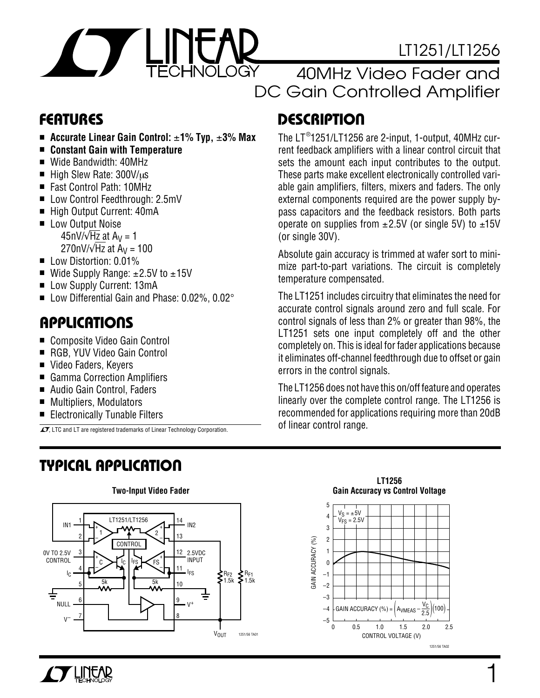

# LT1251/LT1256

# 40MHz Video Fader and DC Gain Controlled Amplifier

- **Accurate Linear Gain Control:** ±**1% Typ,** ±**3% Max**
- **Constant Gain with Temperature**
- Wide Bandwidth: 40MHz
- High Slew Rate: 300V/µs
- Fast Control Path: 10MHz
- Low Control Feedthrough: 2.5mV
- High Output Current: 40mA
- Low Output Noise 45nV/ $\sqrt{Hz}$  at A<sub>V</sub> = 1 270nV/ $\sqrt{Hz}$  at A<sub>V</sub> = 100
- Low Distortion: 0.01%
- Wide Supply Range:  $±2.5V$  to  $±15V$
- Low Supply Current: 13mA
- Low Differential Gain and Phase: 0.02%, 0.02°

### **APPLICATIONS**  $\overline{\phantom{0}}$

- Composite Video Gain Control
- RGB, YUV Video Gain Control
- Video Faders, Keyers
- Gamma Correction Amplifiers
- Audio Gain Control, Faders
- Multipliers, Modulators
- Electronically Tunable Filters

 $\overline{\mathcal{L}}$ , LTC and LT are registered trademarks of Linear Technology Corporation.

# **TYPICAL APPLICATION U**



# **FEATURES DESCRIPTION U**

The LT ® 1251/LT1256 are 2-input, 1-output, 40MHz current feedback amplifiers with a linear control circuit that sets the amount each input contributes to the output. These parts make excellent electronically controlled variable gain amplifiers, filters, mixers and faders. The only external components required are the power supply bypass capacitors and the feedback resistors. Both parts operate on supplies from  $\pm 2.5V$  (or single 5V) to  $\pm 15V$ (or single 30V).

Absolute gain accuracy is trimmed at wafer sort to minimize part-to-part variations. The circuit is completely temperature compensated.

The LT1251 includes circuitry that eliminates the need for accurate control signals around zero and full scale. For control signals of less than 2% or greater than 98%, the LT1251 sets one input completely off and the other completely on. This is ideal for fader applications because it eliminates off-channel feedthrough due to offset or gain errors in the control signals.

The LT1256 does not have this on/off feature and operates linearly over the complete control range. The LT1256 is recommended for applications requiring more than 20dB of linear control range.

**LT1256**



1

### **Two-Input Video Fader**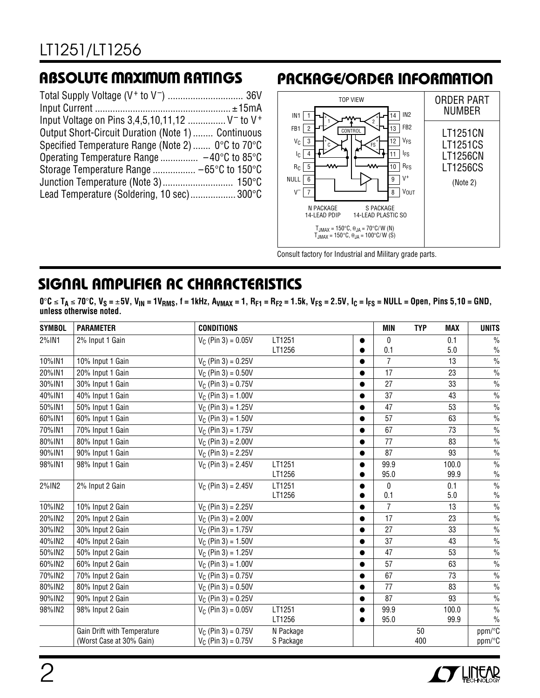| Input Voltage on Pins 3,4,5,10,11,12  V <sup>-</sup> to V <sup>+</sup> |  |
|------------------------------------------------------------------------|--|
| Output Short-Circuit Duration (Note 1)  Continuous                     |  |
| Specified Temperature Range (Note 2)  0°C to 70°C                      |  |
|                                                                        |  |
|                                                                        |  |
|                                                                        |  |
| Lead Temperature (Soldering, 10 sec) 300°C                             |  |
|                                                                        |  |

### **RBSOLUTE MAXIMUM RATINGS PACKAGE/ORDER INFORMATION**



Consult factory for Industrial and Military grade parts.

# **SIGNAL AMPLIFIER AC CHARACTERISTICS**

**0**°**C** ≤ **TA** ≤ **70**°**C, VS =** ±**5V, VIN = 1VRMS, f = 1kHz, AVMAX = 1, RF1 = RF2 = 1.5k, VFS = 2.5V, IC = IFS = NULL = Open, Pins 5,10 = GND, unless otherwise noted.**

| <b>SYMBOL</b> | <b>PARAMETER</b>                                        | <b>CONDITIONS</b>                              |                        |           | <b>MIN</b>     | <b>TYP</b> | <b>MAX</b>    | <b>UNITS</b>          |
|---------------|---------------------------------------------------------|------------------------------------------------|------------------------|-----------|----------------|------------|---------------|-----------------------|
| 2%IN1         | 2% Input 1 Gain                                         | $V_C$ (Pin 3) = 0.05V                          | LT1251                 | $\bullet$ | $\mathbf{0}$   |            | 0.1           | $\frac{0}{0}$         |
|               |                                                         |                                                | LT1256                 |           | 0.1            |            | 5.0           | $\frac{0}{0}$         |
| 10%IN1        | 10% Input 1 Gain                                        | $V_C$ (Pin 3) = 0.25V                          |                        | $\bullet$ | $\overline{7}$ |            | 13            | $\frac{0}{0}$         |
| 20%IN1        | 20% Input 1 Gain                                        | $V_C$ (Pin 3) = 0.50V                          |                        | $\bullet$ | 17             |            | 23            | $\frac{0}{0}$         |
| 30%IN1        | 30% Input 1 Gain                                        | $V_C$ (Pin 3) = 0.75V                          |                        | $\bullet$ | 27             |            | 33            | $\frac{0}{0}$         |
| 40%IN1        | 40% Input 1 Gain                                        | $V_C$ (Pin 3) = 1.00V                          |                        |           | 37             |            | 43            | $\frac{0}{0}$         |
| 50%IN1        | 50% Input 1 Gain                                        | $V_C$ (Pin 3) = 1.25V                          |                        | $\bullet$ | 47             |            | 53            | $\frac{0}{0}$         |
| 60%IN1        | 60% Input 1 Gain                                        | $V_C$ (Pin 3) = 1.50V                          |                        | $\bullet$ | 57             |            | 63            | $\frac{0}{0}$         |
| 70%IN1        | 70% Input 1 Gain                                        | $V_C$ (Pin 3) = 1.75V                          |                        |           | 67             |            | 73            | $\frac{0}{0}$         |
| 80%IN1        | 80% Input 1 Gain                                        | $V_C$ (Pin 3) = 2.00V                          |                        | $\bullet$ | 77             |            | 83            | $\frac{0}{0}$         |
| 90%IN1        | 90% Input 1 Gain                                        | $V_C$ (Pin 3) = 2.25V                          |                        | $\bullet$ | 87             |            | 93            | $\frac{0}{0}$         |
| 98%IN1        | 98% Input 1 Gain                                        | $V_C$ (Pin 3) = 2.45V                          | LT1251<br>LT1256       | $\bullet$ | 99.9<br>95.0   |            | 100.0<br>99.9 | $\frac{0}{0}$<br>$\%$ |
| 2%IN2         | 2% Input 2 Gain                                         | $V_C$ (Pin 3) = 2.45V                          | LT1251                 | $\bullet$ | $\mathbf{0}$   |            | 0.1           | $\frac{0}{6}$         |
|               |                                                         |                                                | LT1256                 |           | 0.1            |            | 5.0           | $\%$                  |
| 10%IN2        | 10% Input 2 Gain                                        | $V_C$ (Pin 3) = 2.25V                          |                        | $\bullet$ | $\overline{7}$ |            | 13            | $\frac{0}{0}$         |
| 20%IN2        | 20% Input 2 Gain                                        | $V_C$ (Pin 3) = 2.00V                          |                        | $\bullet$ | 17             |            | 23            | $\frac{0}{0}$         |
| 30%IN2        | 30% Input 2 Gain                                        | $V_C$ (Pin 3) = 1.75V                          |                        | $\bullet$ | 27             |            | 33            | $\frac{0}{0}$         |
| 40%IN2        | 40% Input 2 Gain                                        | $V_C$ (Pin 3) = 1.50V                          |                        | $\bullet$ | 37             |            | 43            | $\%$                  |
| 50%IN2        | 50% Input 2 Gain                                        | $V_C$ (Pin 3) = 1.25V                          |                        | $\bullet$ | 47             |            | 53            | $\frac{0}{0}$         |
| 60%IN2        | 60% Input 2 Gain                                        | $V_C$ (Pin 3) = 1.00V                          |                        |           | 57             |            | 63            | $\frac{0}{0}$         |
| 70%IN2        | 70% Input 2 Gain                                        | $V_C$ (Pin 3) = 0.75V                          |                        | $\bullet$ | 67             |            | 73            | $\frac{0}{6}$         |
| 80%IN2        | 80% Input 2 Gain                                        | $V_C$ (Pin 3) = 0.50V                          |                        | $\bullet$ | 77             |            | 83            | $\frac{0}{0}$         |
| 90%IN2        | 90% Input 2 Gain                                        | $V_C$ (Pin 3) = 0.25V                          |                        | $\bullet$ | 87             |            | 93            | $\frac{0}{0}$         |
| 98%IN2        | 98% Input 2 Gain                                        | $V_C$ (Pin 3) = 0.05V                          | LT1251<br>LT1256       |           | 99.9<br>95.0   |            | 100.0<br>99.9 | $\frac{0}{0}$<br>$\%$ |
|               | Gain Drift with Temperature<br>(Worst Case at 30% Gain) | $V_C$ (Pin 3) = 0.75V<br>$V_C$ (Pin 3) = 0.75V | N Package<br>S Package |           |                | 50<br>400  |               | ppm/°C<br>ppm/°C      |

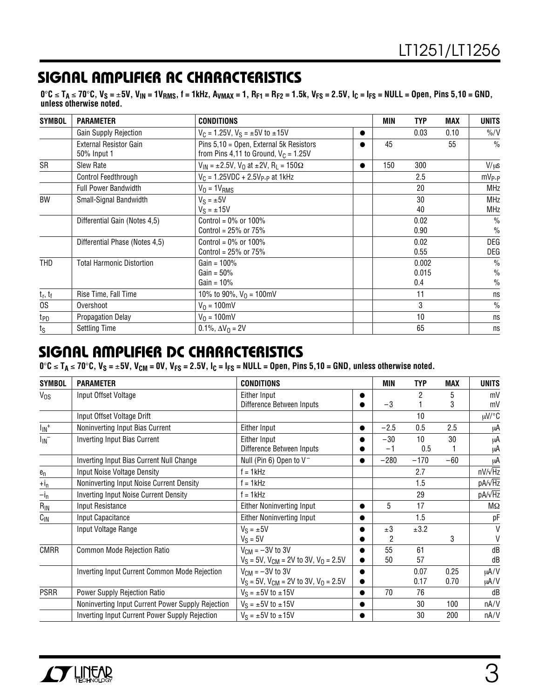# **SIGNAL AMPLIFIER AC CHARACTERISTICS**

0°C ≤ T<sub>A</sub> ≤ 70°C, V<sub>S</sub> = ±5V, V<sub>IN</sub> = 1V<sub>RMS</sub>, f = 1kHz, A<sub>VMAX</sub> = 1, R<sub>F1</sub> = R<sub>F2</sub> = 1.5k, V<sub>FS</sub> = 2.5V, I<sub>C</sub> = I<sub>FS</sub> = NULL = Open, Pins 5,10 = GND, **unless otherwise noted.**

| <b>SYMBOL</b>                         | <b>PARAMETER</b>                             | <b>CONDITIONS</b>                                                                  |           | MIN | <b>TYP</b>            | MAX  | <b>UNITS</b>                           |
|---------------------------------------|----------------------------------------------|------------------------------------------------------------------------------------|-----------|-----|-----------------------|------|----------------------------------------|
|                                       | Gain Supply Rejection                        | $V_C = 1.25V$ , $V_S = \pm 5V$ to $\pm 15V$                                        |           |     | 0.03                  | 0.10 | $\frac{9}{0}$ /V                       |
|                                       | <b>External Resistor Gain</b><br>50% Input 1 | Pins 5,10 = Open, External 5k Resistors<br>from Pins 4,11 to Ground, $V_C = 1.25V$ |           | 45  |                       | 55   | $\frac{0}{0}$                          |
| SR                                    | Slew Rate                                    | $V_{IN} = \pm 2.5V$ , $V_{O}$ at $\pm 2V$ , R <sub>L</sub> = 150 $\Omega$          | $\bullet$ | 150 | 300                   |      | $V/\mu s$                              |
|                                       | Control Feedthrough                          | $V_C = 1.25 VDC + 2.5 V_{P-P}$ at 1kHz                                             |           |     | 2.5                   |      | $mV_{P-P}$                             |
|                                       | <b>Full Power Bandwidth</b>                  | $V_0 = 1V_{RMS}$                                                                   |           |     | 20                    |      | MHz                                    |
| <b>BW</b>                             | Small-Signal Bandwidth                       | $V_S = \pm 5V$<br>$V_S = \pm 15V$                                                  |           |     | 30<br>40              |      | <b>MHz</b><br><b>MHz</b>               |
|                                       | Differential Gain (Notes 4,5)                | Control = $0\%$ or 100%<br>Control = $25%$ or $75%$                                |           |     | 0.02<br>0.90          |      | $\frac{0}{0}$<br>$\frac{0}{0}$         |
|                                       | Differential Phase (Notes 4,5)               | Control = $0\%$ or 100%<br>Control = $25\%$ or $75\%$                              |           |     | 0.02<br>0.55          |      | DEG<br>DEG                             |
| <b>THD</b>                            | <b>Total Harmonic Distortion</b>             | Gain = $100%$<br>Gain = $50\%$<br>$Gain = 10\%$                                    |           |     | 0.002<br>0.015<br>0.4 |      | $\frac{0}{0}$<br>$\%$<br>$\frac{0}{0}$ |
| $\boldsymbol{t}_r,\,\boldsymbol{t}_f$ | Rise Time, Fall Time                         | 10% to 90%, $V_0 = 100$ mV                                                         |           |     | 11                    |      | ns                                     |
| 0S                                    | Overshoot                                    | $V_0 = 100$ mV                                                                     |           |     | 3                     |      | $\%$                                   |
| t <sub>PD</sub>                       | Propagation Delay                            | $V_0 = 100$ mV                                                                     |           |     | 10                    |      | ns                                     |
| $t_{\rm S}$                           | <b>Settling Time</b>                         | $0.1\%$ , $\Delta V_0 = 2V$                                                        |           |     | 65                    |      | ns                                     |

### **SIGNAL AMPLIFIER DC CHARACTERISTICS**

 $0^\circ$ **C** ≤ T<sub>A</sub> ≤ 70 $^\circ$ **C**, V<sub>S</sub> = ±5V, V<sub>CM</sub> = 0V, V<sub>FS</sub> = 2.5V, I<sub>C</sub> = I<sub>FS</sub> = NULL = Open, Pins 5,10 = GND, unless otherwise noted.

| <b>SYMBOL</b>         | <b>PARAMETER</b>                                  | <b>CONDITIONS</b>                              |           | <b>MIN</b> | <b>TYP</b> | <b>MAX</b> | <b>UNITS</b>    |
|-----------------------|---------------------------------------------------|------------------------------------------------|-----------|------------|------------|------------|-----------------|
| $V_{OS}$              | Input Offset Voltage                              | Either Input                                   |           |            | 2          | 5          | mV              |
|                       |                                                   | Difference Between Inputs                      |           | $-3$       |            | 3          | mV              |
|                       | Input Offset Voltage Drift                        |                                                |           |            | 10         |            | $\mu$ V/°C      |
| $I_{\mathsf{IN}}{}^+$ | Noninverting Input Bias Current                   | Either Input                                   | $\bullet$ | $-2.5$     | 0.5        | 2.5        | μA              |
| $I_{IN}^-$            | <b>Inverting Input Bias Current</b>               | Either Input                                   |           | $-30$      | 10         | 30         | μA              |
|                       |                                                   | Difference Between Inputs                      |           | -1         | 0.5        |            | μA              |
|                       | Inverting Input Bias Current Null Change          | Null (Pin 6) Open to V <sup>-</sup>            | $\bullet$ | $-280$     | $-170$     | $-60$      | μA              |
| $e_n$                 | Input Noise Voltage Density                       | $f = 1$ kHz                                    |           |            | 2.7        |            | $nV/\sqrt{Hz}$  |
| $+i_n$                | Noninverting Input Noise Current Density          | $f = 1$ kHz                                    |           |            | 1.5        |            | pA/vHz          |
| $-i_n$                | Inverting Input Noise Current Density             | $f = 1$ kHz                                    |           |            | 29         |            | pA/ $\sqrt{Hz}$ |
| $R_{IN}$              | Input Resistance                                  | <b>Either Noninverting Input</b>               | $\bullet$ | 5          | 17         |            | МΩ              |
| $C_{\text{IN}}$       | Input Capacitance                                 | Either Noninverting Input                      |           |            | 1.5        |            | рF              |
|                       | Input Voltage Range                               | $V_S = \pm 5V$                                 |           | ±3         | ±3.2       |            | V               |
|                       |                                                   | $V_S = 5V$                                     |           | 2          |            | 3          | V               |
| <b>CMRR</b>           | Common Mode Rejection Ratio                       | $V_{CM} = -3V$ to 3V                           |           | 55         | 61         |            | dB              |
|                       |                                                   | $V_S = 5V$ , $V_{CM} = 2V$ to 3V, $V_0 = 2.5V$ |           | 50         | 57         |            | dB              |
|                       | Inverting Input Current Common Mode Rejection     | $V_{CM} = -3V$ to 3V                           |           |            | 0.07       | 0.25       | $\mu A/V$       |
|                       |                                                   | $V_S = 5V$ , $V_{CM} = 2V$ to 3V, $V_0 = 2.5V$ |           |            | 0.17       | 0.70       | $\mu A/V$       |
| <b>PSRR</b>           | <b>Power Supply Rejection Ratio</b>               | $V_S = \pm 5V$ to $\pm 15V$                    | $\bullet$ | 70         | 76         |            | dB              |
|                       | Noninverting Input Current Power Supply Rejection | $V_S = \pm 5V$ to $\pm 15V$                    |           |            | 30         | 100        | nA/V            |
|                       | Inverting Input Current Power Supply Rejection    | $V_S = \pm 5V$ to $\pm 15V$                    |           |            | 30         | 200        | nA/V            |

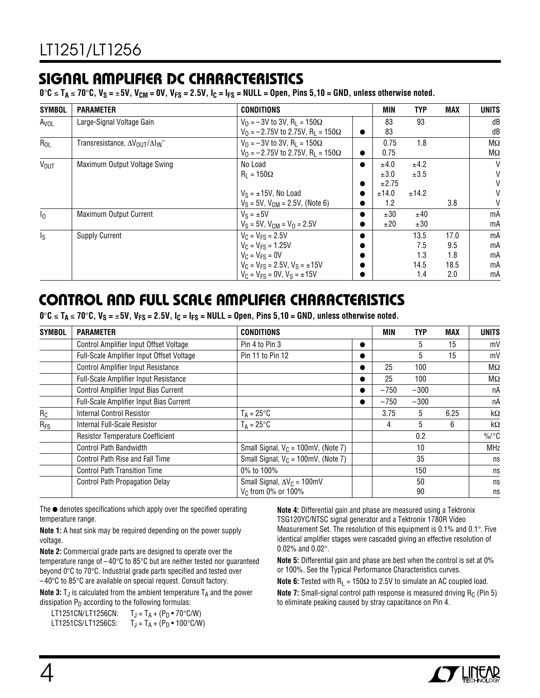# **SIGNAL AMPLIFIER DC CHARACTERISTICS**

 $0^\circ$ C ≤ T<sub>A</sub> ≤ 70 $^\circ$ C, V<sub>S</sub> = ±5V, V<sub>CM</sub> = 0V, V<sub>FS</sub> = 2.5V, I<sub>C</sub> = I<sub>FS</sub> = NULL = Open, Pins 5,10 = GND, unless otherwise noted.

| <b>SYMBOL</b>           | <b>PARAMETER</b>                                              | <b>CONDITIONS</b>                                      |           | MIN   | <b>TYP</b> | <b>MAX</b> | <b>UNITS</b> |
|-------------------------|---------------------------------------------------------------|--------------------------------------------------------|-----------|-------|------------|------------|--------------|
| Avol                    | Large-Signal Voltage Gain                                     | $V_0 = -3V$ to 3V, R <sub>L</sub> = 150 $\Omega$       |           | 83    | 93         |            | dB           |
|                         |                                                               | $V_0 = -2.75V$ to 2.75V, R <sub>1</sub> = 150 $\Omega$ | $\bullet$ | 83    |            |            | dB           |
| $R_{OL}$                | Transresistance, $\Delta V_{\text{OUT}}/\Delta I_{\text{IN}}$ | $V_0 = -3V$ to 3V, R <sub>1</sub> = 150 $\Omega$       |           | 0.75  | 1.8        |            | $M\Omega$    |
|                         |                                                               | $V_0 = -2.75V$ to 2.75V, R <sub>1</sub> = 150 $\Omega$ | $\bullet$ | 0.75  |            |            | $M\Omega$    |
| <b>VOUT</b>             | Maximum Output Voltage Swing                                  | No Load                                                | $\bullet$ | ±4.0  | ±4.2       |            | V            |
|                         |                                                               | $R_1 = 150\Omega$                                      |           | ±3.0  | ±3.5       |            | $\mathsf{V}$ |
|                         |                                                               |                                                        | $\bullet$ | ±2.75 |            |            | $\mathsf{V}$ |
|                         |                                                               | $V_S = \pm 15V$ , No Load                              | $\bullet$ | ±14.0 | ±14.2      |            | V            |
|                         |                                                               | $V_S = 5V$ , $V_{CM} = 2.5V$ , (Note 6)                | $\bullet$ | 1.2   |            | 3.8        | V            |
| $I_{\Omega}$            | <b>Maximum Output Current</b>                                 | $V_S = \pm 5V$                                         | $\bullet$ | ±30   | ±40        |            | mA           |
|                         |                                                               | $V_S = 5V$ , $V_{CM} = V_0 = 2.5V$                     |           | ±20   | ±30        |            | mA           |
| $\mathsf{I}_\mathsf{S}$ | <b>Supply Current</b>                                         | $V_C = V_{FS} = 2.5V$                                  |           |       | 13.5       | 17.0       | mA           |
|                         |                                                               | $V_C = V_{FS} = 1.25V$                                 |           |       | 7.5        | 9.5        | mA           |
|                         |                                                               | $V_C = V_{FS} = 0V$                                    | $\bullet$ |       | 1.3        | 1.8        | mA           |
|                         |                                                               | $V_C = V_{FS} = 2.5V$ , $V_S = \pm 15V$                |           |       | 14.5       | 18.5       | mA           |
|                         |                                                               | $V_C = V_{FS} = 0V$ , $V_S = \pm 15V$                  | $\bullet$ |       | 1.4        | 2.0        | mA           |

# **CONTROL AND FULL SCALE AMPLIFIER CHARACTERISTICS**

 $0^\circ$ C ≤ T<sub>A</sub> ≤ 70 $^\circ$ C, V<sub>S</sub> = ±5V, V<sub>FS</sub> = 2.5V, I<sub>C</sub> = I<sub>FS</sub> = NULL = Open, Pins 5,10 = GND, unless otherwise noted.

| <b>SYMBOL</b> | <b>CONDITIONS</b><br><b>PARAMETER</b>     |                                        |   | MIN    | <b>TYP</b> | <b>MAX</b> | <b>UNITS</b> |
|---------------|-------------------------------------------|----------------------------------------|---|--------|------------|------------|--------------|
|               | Control Amplifier Input Offset Voltage    | Pin 4 to Pin 3                         |   |        | 5          | 15         | mV           |
|               | Full-Scale Amplifier Input Offset Voltage | Pin 11 to Pin 12                       | O |        | 5          | 15         | mV           |
|               | <b>Control Amplifier Input Resistance</b> |                                        | ● | 25     | 100        |            | $M\Omega$    |
|               | Full-Scale Amplifier Input Resistance     |                                        |   | 25     | 100        |            | $M\Omega$    |
|               | Control Amplifier Input Bias Current      |                                        |   | $-750$ | $-300$     |            | пA           |
|               | Full-Scale Amplifier Input Bias Current   |                                        |   | $-750$ | $-300$     |            | пA           |
| $R_C$         | <b>Internal Control Resistor</b>          | $T_A = 25^{\circ}C$                    |   | 3.75   | 5          | 6.25       | $k\Omega$    |
| $R_{FS}$      | Internal Full-Scale Resistor              | $T_A = 25^{\circ}C$                    |   | 4      | 5          | 6          | $k\Omega$    |
|               | <b>Resistor Temperature Coefficient</b>   |                                        |   |        | 0.2        |            | $\%$ /°C     |
|               | <b>Control Path Bandwidth</b>             | Small Signal, $V_C = 100$ mV, (Note 7) |   |        | 10         |            | <b>MHz</b>   |
|               | Control Path Rise and Fall Time           | Small Signal, $V_C = 100$ mV, (Note 7) |   |        | 35         |            | ns           |
|               | <b>Control Path Transition Time</b>       | 0% to 100%                             |   |        | 150        |            | ns           |
|               | <b>Control Path Propagation Delay</b>     | Small Signal, $\Delta V_C = 100$ mV    |   |        | 50         |            | ns           |
|               |                                           | V <sub>C</sub> from 0% or 100%         |   |        | 90         |            | ns           |

The ● denotes specifications which apply over the specified operating temperature range.

**Note 1:** A heat sink may be required depending on the power supply voltage.

**Note 2:** Commercial grade parts are designed to operate over the temperature range of –40°C to 85°C but are neither tested nor guaranteed beyond 0°C to 70°C. Industrial grade parts specified and tested over –40°C to 85°C are available on special request. Consult factory.

**Note 3:**  $T_J$  is calculated from the ambient temperature  $T_A$  and the power dissipation  $P_D$  according to the following formulas:

LT1251CN/LT1256CN:  $T_J = T_A + (P_D \cdot 70^{\circ} C/W)$ <br>LT1251CS/LT1256CS:  $T_J = T_A + (P_D \cdot 100^{\circ} C/W)$  $T_J = T_A + (P_D \cdot 100^{\circ} C/W)$  **Note 4:** Differential gain and phase are measured using a Tektronix TSG120YC/NTSC signal generator and a Tektronix 1780R Video Measurement Set. The resolution of this equipment is 0.1% and 0.1°. Five identical amplifier stages were cascaded giving an effective resolution of 0.02% and 0.02°.

**Note 5:** Differential gain and phase are best when the control is set at 0% or 100%. See the Typical Performance Characteristics curves.

**Note 6:** Tested with  $R_L = 150\Omega$  to 2.5V to simulate an AC coupled load. **Note 7:** Small-signal control path response is measured driving R<sub>C</sub> (Pin 5) to eliminate peaking caused by stray capacitance on Pin 4.

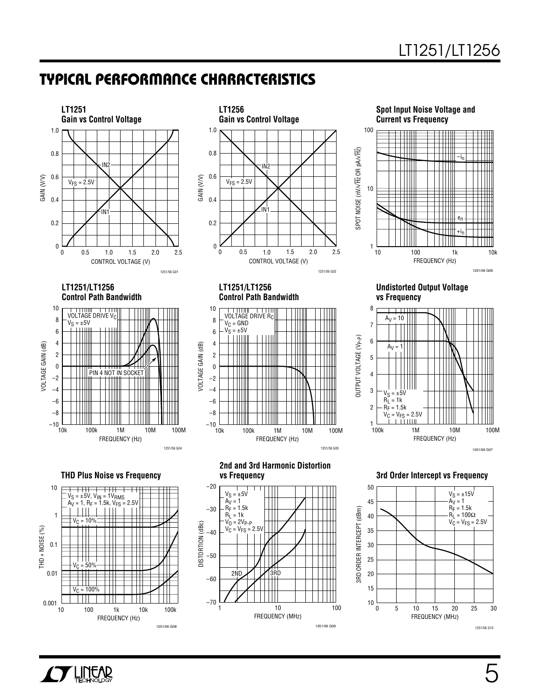VOLTAGE GAIN (dB)

/OLTAGE GAIN (dB)

10 8 6 4 2 0 –2 –4 –6 –8  $-10$   $-10k$ 



**LT1251/LT1256 Control Path Bandwidth**











#### **Undistorted Output Voltage vs Frequency**



**2nd and 3rd Harmonic Distortion vs Frequency**

FREQUENCY (Hz)

100k

VOLTAGE DRIVE R<sub>C</sub>  $V_C = GND$  $V_S = \pm 5V$ 

**LT1251/LT1256 Control Path Bandwidth**

10k 1M 10M 100M

1251/56 G05



**3rd Order Intercept vs Frequency**



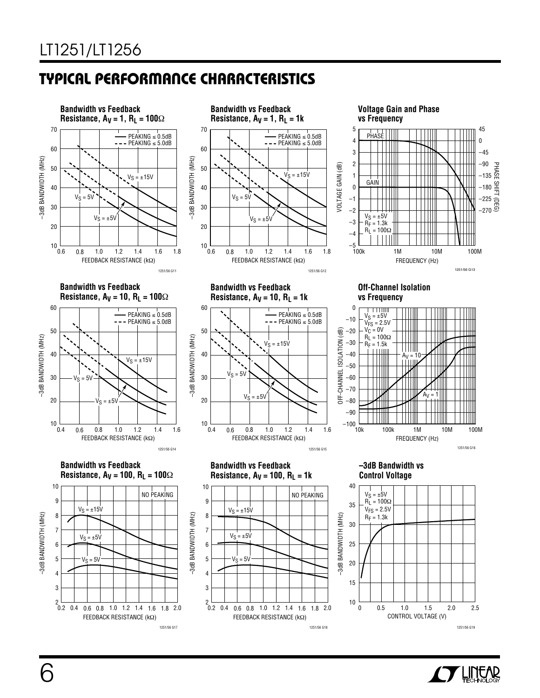

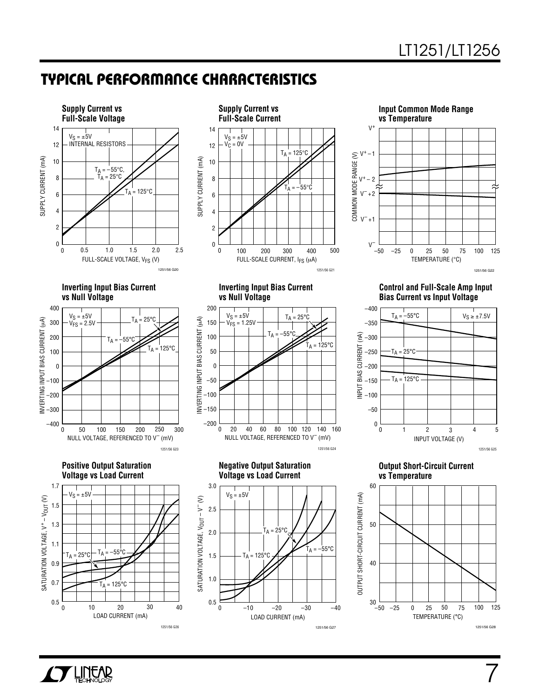



**Supply Current vs**



**Inverting Input Bias Current vs Null Voltage**



**Positive Output Saturation Voltage vs Load Current**



**Inverting Input Bias Current vs Null Voltage**



**Negative Output Saturation Voltage vs Load Current**



**Control and Full-Scale Amp Input Bias Current vs Input Voltage**

1251/56 G22



**Output Short-Circuit Current vs Temperature**



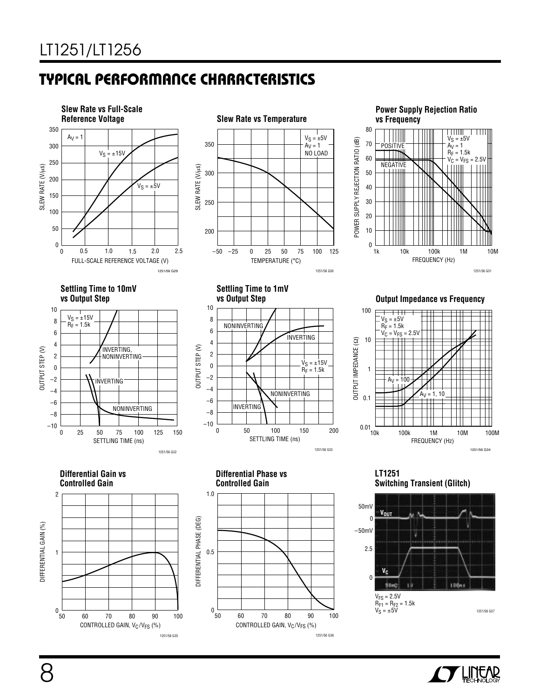







**Settling Time to 10mV vs Output Step**



**Settling Time to 1mV**



**Output Impedance vs Frequency** 



**Differential Gain vs Controlled Gain**







**LT1251 Switching Transient (Glitch)**



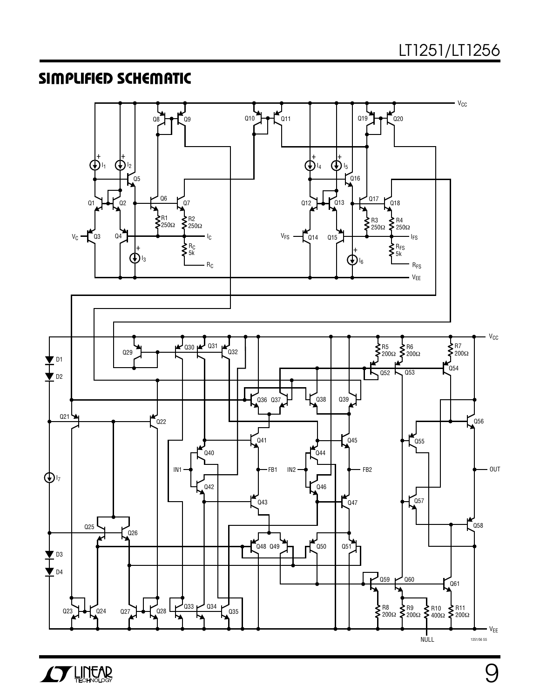### **SIMPLIFIED SCHEMATIC**



**AV LINEAR** 

9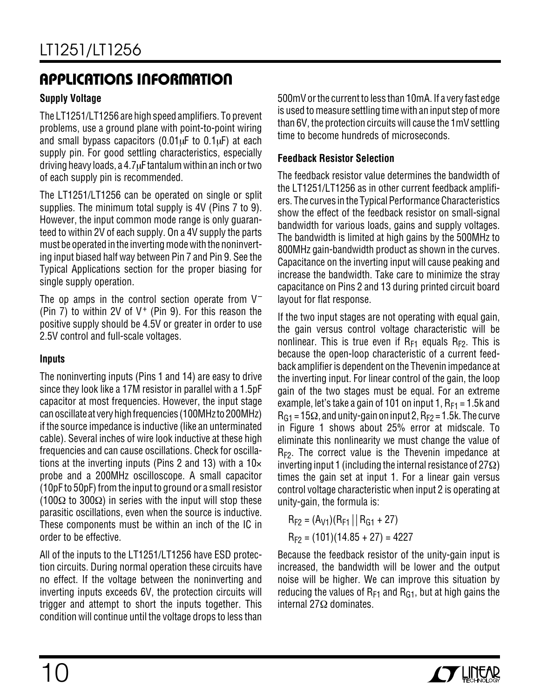### **Supply Voltage**

The LT1251/LT1256 are high speed amplifiers. To prevent problems, use a ground plane with point-to-point wiring and small bypass capacitors  $(0.01 \mu F)$  to  $0.1 \mu F$ ) at each supply pin. For good settling characteristics, especially driving heavy loads, a  $4.7\mu$ F tantalum within an inch or two of each supply pin is recommended.

The LT1251/LT1256 can be operated on single or split supplies. The minimum total supply is 4V (Pins 7 to 9). However, the input common mode range is only guaranteed to within 2V of each supply. On a 4V supply the parts must be operated in the inverting mode with the noninverting input biased half way between Pin 7 and Pin 9. See the Typical Applications section for the proper biasing for single supply operation.

The op amps in the control section operate from  $V^-$ (Pin 7) to within 2V of  $V^+$  (Pin 9). For this reason the positive supply should be 4.5V or greater in order to use 2.5V control and full-scale voltages.

### **Inputs**

The noninverting inputs (Pins 1 and 14) are easy to drive since they look like a 17M resistor in parallel with a 1.5pF capacitor at most frequencies. However, the input stage can oscillate at very high frequencies (100MHz to 200MHz) if the source impedance is inductive (like an unterminated cable). Several inches of wire look inductive at these high frequencies and can cause oscillations. Check for oscillations at the inverting inputs (Pins 2 and 13) with a  $10\times$ probe and a 200MHz oscilloscope. A small capacitor (10pF to 50pF) from the input to ground or a small resistor (100Ω to 300Ω) in series with the input will stop these parasitic oscillations, even when the source is inductive. These components must be within an inch of the IC in order to be effective.

All of the inputs to the LT1251/LT1256 have ESD protection circuits. During normal operation these circuits have no effect. If the voltage between the noninverting and inverting inputs exceeds 6V, the protection circuits will trigger and attempt to short the inputs together. This condition will continue until the voltage drops to less than

500mV or the current to less than 10mA. If a very fast edge is used to measure settling time with an input step of more than 6V, the protection circuits will cause the 1mV settling time to become hundreds of microseconds.

### **Feedback Resistor Selection**

The feedback resistor value determines the bandwidth of the LT1251/LT1256 as in other current feedback amplifiers. The curves in the Typical Performance Characteristics show the effect of the feedback resistor on small-signal bandwidth for various loads, gains and supply voltages. The bandwidth is limited at high gains by the 500MHz to 800MHz gain-bandwidth product as shown in the curves. Capacitance on the inverting input will cause peaking and increase the bandwidth. Take care to minimize the stray capacitance on Pins 2 and 13 during printed circuit board layout for flat response.

If the two input stages are not operating with equal gain, the gain versus control voltage characteristic will be nonlinear. This is true even if  $R_{F1}$  equals  $R_{F2}$ . This is because the open-loop characteristic of a current feedback amplifier is dependent on the Thevenin impedance at the inverting input. For linear control of the gain, the loop gain of the two stages must be equal. For an extreme example, let's take a gain of 101 on input 1,  $R_{F1} = 1.5k$  and  $R_{G1}$  = 15 $\Omega$ , and unity-gain on input 2,  $R_{F2}$  = 1.5k. The curve in Figure 1 shows about 25% error at midscale. To eliminate this nonlinearity we must change the value of RF2. The correct value is the Thevenin impedance at inverting input 1 (including the internal resistance of  $27\Omega$ ) times the gain set at input 1. For a linear gain versus control voltage characteristic when input 2 is operating at unity-gain, the formula is:

$$
R_{F2} = (A_{V1})(R_{F1} || R_{G1} + 27)
$$
  

$$
R_{F2} = (101)(14.85 + 27) = 4227
$$

Because the feedback resistor of the unity-gain input is increased, the bandwidth will be lower and the output noise will be higher. We can improve this situation by reducing the values of  $R_{F1}$  and  $R_{G1}$ , but at high gains the internal 27Ω dominates.

![](_page_9_Picture_15.jpeg)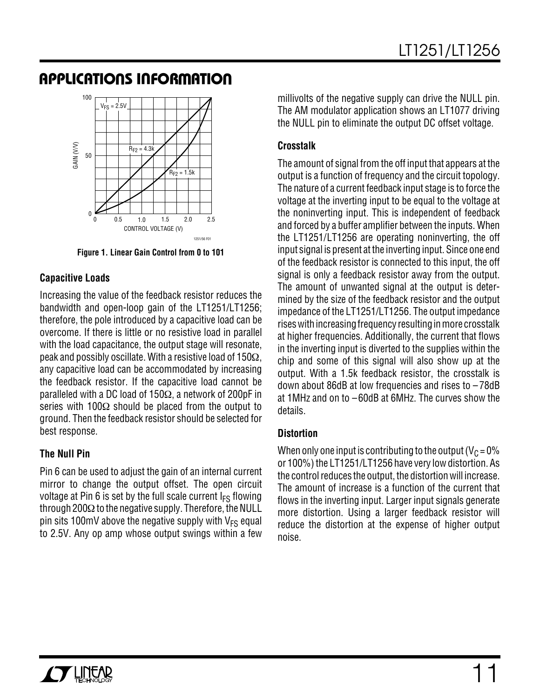![](_page_10_Figure_2.jpeg)

**Figure 1. Linear Gain Control from 0 to 101**

### **Capacitive Loads**

Increasing the value of the feedback resistor reduces the bandwidth and open-loop gain of the LT1251/LT1256; therefore, the pole introduced by a capacitive load can be overcome. If there is little or no resistive load in parallel with the load capacitance, the output stage will resonate, peak and possibly oscillate. With a resistive load of 150Ω, any capacitive load can be accommodated by increasing the feedback resistor. If the capacitive load cannot be paralleled with a DC load of 150Ω, a network of 200pF in series with 100Ω should be placed from the output to ground. Then the feedback resistor should be selected for best response.

### **The Null Pin**

Pin 6 can be used to adjust the gain of an internal current mirror to change the output offset. The open circuit voltage at Pin 6 is set by the full scale current  $I_{FS}$  flowing through 200 $\Omega$  to the negative supply. Therefore, the NULL pin sits 100mV above the negative supply with  $V_{FS}$  equal to 2.5V. Any op amp whose output swings within a few

millivolts of the negative supply can drive the NULL pin. The AM modulator application shows an LT1077 driving the NULL pin to eliminate the output DC offset voltage.

### **Crosstalk**

The amount of signal from the off input that appears at the output is a function of frequency and the circuit topology. The nature of a current feedback input stage is to force the voltage at the inverting input to be equal to the voltage at the noninverting input. This is independent of feedback and forced by a buffer amplifier between the inputs. When the LT1251/LT1256 are operating noninverting, the off input signal is present at the inverting input. Since one end of the feedback resistor is connected to this input, the off signal is only a feedback resistor away from the output. The amount of unwanted signal at the output is determined by the size of the feedback resistor and the output impedance of the LT1251/LT1256. The output impedance rises with increasing frequency resulting in more crosstalk at higher frequencies. Additionally, the current that flows in the inverting input is diverted to the supplies within the chip and some of this signal will also show up at the output. With a 1.5k feedback resistor, the crosstalk is down about 86dB at low frequencies and rises to – 78dB at 1MHz and on to –60dB at 6MHz. The curves show the details.

### **Distortion**

When only one input is contributing to the output ( $V<sub>C</sub> = 0\%$ ) or 100%) the LT1251/LT1256 have very low distortion. As the control reduces the output, the distortion will increase. The amount of increase is a function of the current that flows in the inverting input. Larger input signals generate more distortion. Using a larger feedback resistor will reduce the distortion at the expense of higher output noise.

![](_page_10_Picture_13.jpeg)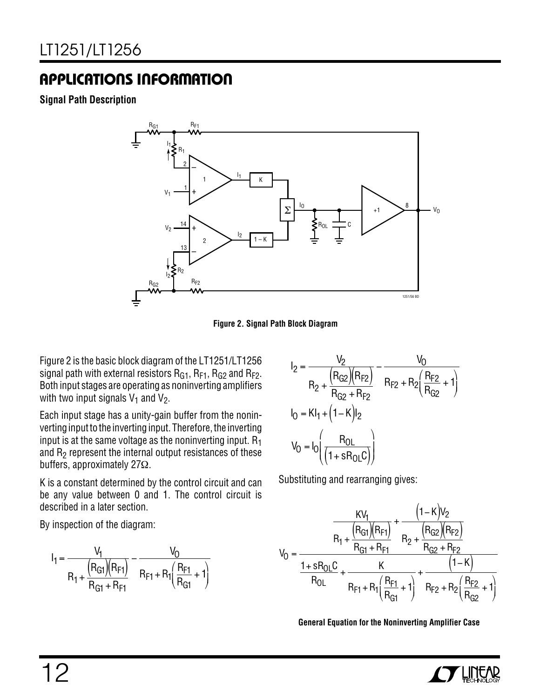**Signal Path Description**

![](_page_11_Figure_3.jpeg)

**Figure 2. Signal Path Block Diagram**

Figure 2 is the basic block diagram of the LT1251/LT1256 signal path with external resistors  $R_{G1}$ ,  $R_{F1}$ ,  $R_{G2}$  and  $R_{F2}$ . Both input stages are operating as noninverting amplifiers with two input signals  $V_1$  and  $V_2$ .

Each input stage has a unity-gain buffer from the noninverting input to the inverting input. Therefore, the inverting input is at the same voltage as the noninverting input.  $R_1$ and  $R<sub>2</sub>$  represent the internal output resistances of these buffers, approximately 27Ω.

K is a constant determined by the control circuit and can be any value between 0 and 1. The control circuit is described in a later section.

By inspection of the diagram:

$$
I_1 = \frac{V_1}{R_1 + \frac{(R_{G1})(R_{F1})}{R_{G1} + R_{F1}}} - \frac{V_0}{R_{F1} + R_1 \left(\frac{R_{F1}}{R_{G1}} + 1\right)}
$$

$$
I_2 = \frac{V_2}{R_2 + \frac{(R_{G2})(R_{F2})}{R_{G2} + R_{F2}}} - \frac{V_0}{R_{F2} + R_2(\frac{R_{F2}}{R_{G2}} + 1)}
$$
  
\n
$$
I_0 = K I_1 + (1 - K)I_2
$$
  
\n
$$
V_0 = I_0 \left(\frac{R_{0L}}{(1 + sR_{0L}C)}\right)
$$

Substituting and rearranging gives:

$$
V_0 = \frac{\frac{KV_1}{R_1 + \frac{(R_{G1})(R_{F1})}{R_{G1} + R_{F1}} + \frac{(R_{G2})(R_{F2})}{R_{G2} + R_{F2}}}{\frac{1 + sR_{OL}C}{R_{OL}} + \frac{K}{R_{F1} + R_1(\frac{R_{F1}}{R_{G1}} + 1)} + \frac{(1 - K)}{R_{F2} + R_2(\frac{R_{F2}}{R_{G2}} + 1)}}
$$

**General Equation for the Noninverting Amplifier Case**

![](_page_11_Picture_14.jpeg)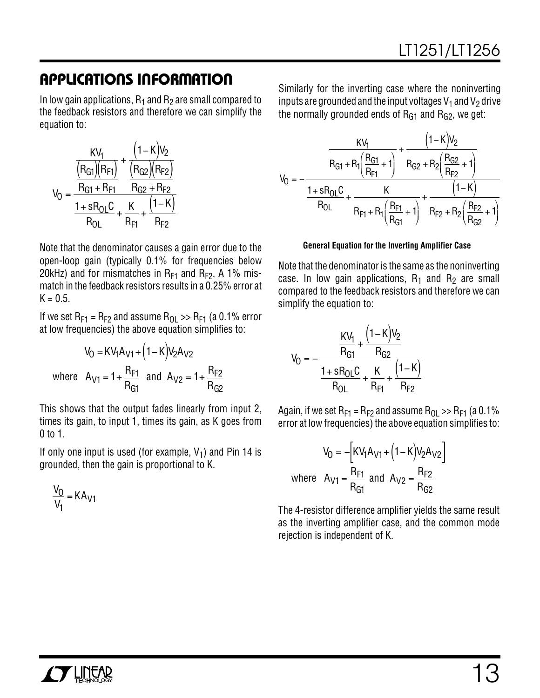In low gain applications,  $R_1$  and  $R_2$  are small compared to the feedback resistors and therefore we can simplify the equation to:

$$
V_0 = \frac{\frac{KV_1}{(R_{GI})(R_{F1})} + \frac{(1 - K)V_2}{(R_{G2})(R_{F2})}}{\frac{R_{GI} + R_{F1}}{R_{OL}} + \frac{K}{R_{F1}} + \frac{(1 - K)}{R_{F2}}}
$$

Note that the denominator causes a gain error due to the open-loop gain (typically 0.1% for frequencies below 20kHz) and for mismatches in  $R_{F1}$  and  $R_{F2}$ . A 1% mismatch in the feedback resistors results in a 0.25% error at  $K = 0.5$ .

If we set  $R_{F1} = R_{F2}$  and assume  $R_{O1} >> R_{F1}$  (a 0.1% error at low frequencies) the above equation simplifies to:

$$
V_0 = KV_1A_{V1} + (1 - K)V_2A_{V2}
$$
  
where  $A_{V1} = 1 + \frac{R_{F1}}{R_{G1}}$  and  $A_{V2} = 1 + \frac{R_{F2}}{R_{G2}}$ 

This shows that the output fades linearly from input 2, times its gain, to input 1, times its gain, as K goes from  $0$  to 1.

If only one input is used (for example,  $V_1$ ) and Pin 14 is grounded, then the gain is proportional to K.

$$
\frac{V_0}{V_1} = KA_{V1}
$$

Similarly for the inverting case where the noninverting inputs are grounded and the input voltages  $V_1$  and  $V_2$  drive the normally grounded ends of  $R<sub>G1</sub>$  and  $R<sub>G2</sub>$ , we get:

$$
V_0 = -\frac{\frac{KV_1}{R_{G1} + R_1 \left(\frac{R_{G1}}{R_{F1}} + 1\right)} + \frac{\left(1 - K\right)V_2}{R_{G2} + R_2 \left(\frac{R_{G2}}{R_{F2}} + 1\right)}}{\frac{1 + sR_{OL}C}{R_{OL}} + \frac{K}{R_{F1} + R_1 \left(\frac{R_{F1}}{R_{G1}} + 1\right)} + \frac{\left(1 - K\right)}{R_{F2} + R_2 \left(\frac{R_{F2}}{R_{G2}} + 1\right)}}
$$

### **General Equation for the Inverting Amplifier Case**

Note that the denominator is the same as the noninverting case. In low gain applications,  $R_1$  and  $R_2$  are small compared to the feedback resistors and therefore we can simplify the equation to:

$$
V_0 = -\frac{\frac{KV_1}{R_{G1}} + \frac{(1 - K)V_2}{R_{G2}}}{\frac{1 + sR_{OL}C}{R_{OL}} + \frac{K}{R_{F1}} + \frac{(1 - K)}{R_{F2}}}
$$

Again, if we set  $R_{F1} = R_{F2}$  and assume  $R_{O1} >> R_{F1}$  (a 0.1% error at low frequencies) the above equation simplifies to:

$$
V_0 = -\left[KV_1A_{V1} + (1 - K)V_2A_{V2}\right]
$$
  
where  $A_{V1} = \frac{R_{F1}}{R_{G1}}$  and  $A_{V2} = \frac{R_{F2}}{R_{G2}}$ 

The 4-resistor difference amplifier yields the same result as the inverting amplifier case, and the common mode rejection is independent of K.

![](_page_12_Picture_18.jpeg)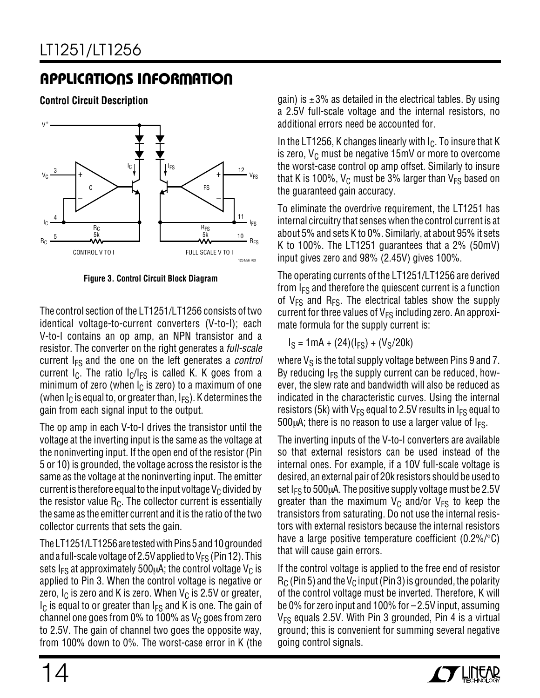**Control Circuit Description**

![](_page_13_Figure_3.jpeg)

**Figure 3. Control Circuit Block Diagram**

The control section of the LT1251/LT1256 consists of two identical voltage-to-current converters (V-to-I); each V-to-I contains an op amp, an NPN transistor and a resistor. The converter on the right generates a full-scale current  $I_{FS}$  and the one on the left generates a *control* current  $I_C$ . The ratio  $I_C/I_{FS}$  is called K. K goes from a minimum of zero (when  $I_C$  is zero) to a maximum of one (when  $I_C$  is equal to, or greater than,  $I_{FS}$ ). K determines the gain from each signal input to the output.

The op amp in each V-to-I drives the transistor until the voltage at the inverting input is the same as the voltage at the noninverting input. If the open end of the resistor (Pin 5 or 10) is grounded, the voltage across the resistor is the same as the voltage at the noninverting input. The emitter current is therefore equal to the input voltage  $V_C$  divided by the resistor value  $R_C$ . The collector current is essentially the same as the emitter current and it is the ratio of the two collector currents that sets the gain.

The LT1251/LT1256 are tested with Pins 5 and 10 grounded and a full-scale voltage of 2.5V applied to  $V_{FS}$  (Pin 12). This sets  $I_{FS}$  at approximately 500 $\mu$ A; the control voltage  $V_C$  is applied to Pin 3. When the control voltage is negative or zero,  $I_C$  is zero and K is zero. When  $V_C$  is 2.5V or greater,  $I_{\rm C}$  is equal to or greater than  $I_{\rm FS}$  and K is one. The gain of channel one goes from 0% to 100% as  $V_C$  goes from zero to 2.5V. The gain of channel two goes the opposite way, from 100% down to 0%. The worst-case error in K (the gain) is  $\pm 3\%$  as detailed in the electrical tables. By using a 2.5V full-scale voltage and the internal resistors, no additional errors need be accounted for.

In the LT1256, K changes linearly with  $I_C$ . To insure that K is zero,  $V_C$  must be negative 15mV or more to overcome the worst-case control op amp offset. Similarly to insure that K is 100%,  $V_C$  must be 3% larger than  $V_{FS}$  based on the guaranteed gain accuracy.

To eliminate the overdrive requirement, the LT1251 has internal circuitry that senses when the control current is at about 5% and sets K to 0%. Similarly, at about 95% it sets K to 100%. The LT1251 guarantees that a 2% (50mV) input gives zero and 98% (2.45V) gives 100%.

The operating currents of the LT1251/LT1256 are derived from  $I<sub>FS</sub>$  and therefore the quiescent current is a function of  $V_{FS}$  and  $R_{FS}$ . The electrical tables show the supply current for three values of  $V_{FS}$  including zero. An approximate formula for the supply current is:

 $I_S = 1mA + (24)(I_{FS}) + (V_S/20k)$ 

where  $V_S$  is the total supply voltage between Pins 9 and 7. By reducing  $I_{FS}$  the supply current can be reduced, however, the slew rate and bandwidth will also be reduced as indicated in the characteristic curves. Using the internal resistors (5k) with  $V_{FS}$  equal to 2.5V results in  $I_{FS}$  equal to  $500\mu$ A; there is no reason to use a larger value of  $I<sub>FS</sub>$ .

The inverting inputs of the V-to-I converters are available so that external resistors can be used instead of the internal ones. For example, if a 10V full-scale voltage is desired, an external pair of 20k resistors should be used to set  $I_{FS}$  to 500 $\mu$ A. The positive supply voltage must be 2.5V greater than the maximum  $V_C$  and/or  $V_{FS}$  to keep the transistors from saturating. Do not use the internal resistors with external resistors because the internal resistors have a large positive temperature coefficient (0.2%/°C) that will cause gain errors.

If the control voltage is applied to the free end of resistor  $R_C$  (Pin 5) and the V<sub>C</sub> input (Pin 3) is grounded, the polarity of the control voltage must be inverted. Therefore, K will be 0% for zero input and 100% for –2.5V input, assuming  $V_{FS}$  equals 2.5V. With Pin 3 grounded, Pin 4 is a virtual ground; this is convenient for summing several negative going control signals.

![](_page_13_Picture_16.jpeg)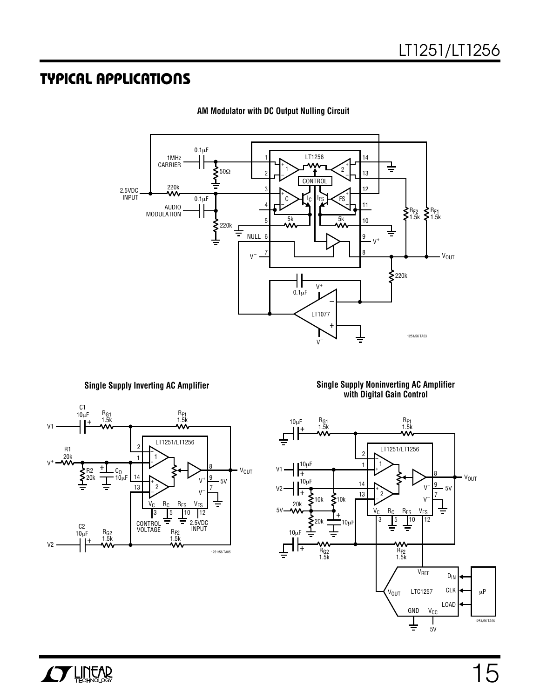![](_page_14_Figure_2.jpeg)

**AM Modulator with DC Output Nulling Circuit**

**Single Supply Inverting AC Amplifier**

![](_page_14_Figure_5.jpeg)

**Single Supply Noninverting AC Amplifier with Digital Gain Control**

![](_page_14_Figure_7.jpeg)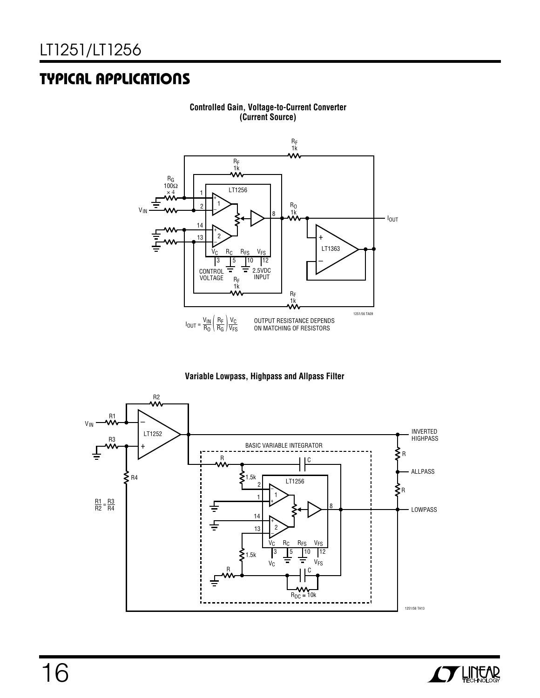![](_page_15_Figure_2.jpeg)

#### **Controlled Gain, Voltage-to-Current Converter (Current Source)**

![](_page_15_Figure_4.jpeg)

![](_page_15_Figure_5.jpeg)

![](_page_15_Picture_6.jpeg)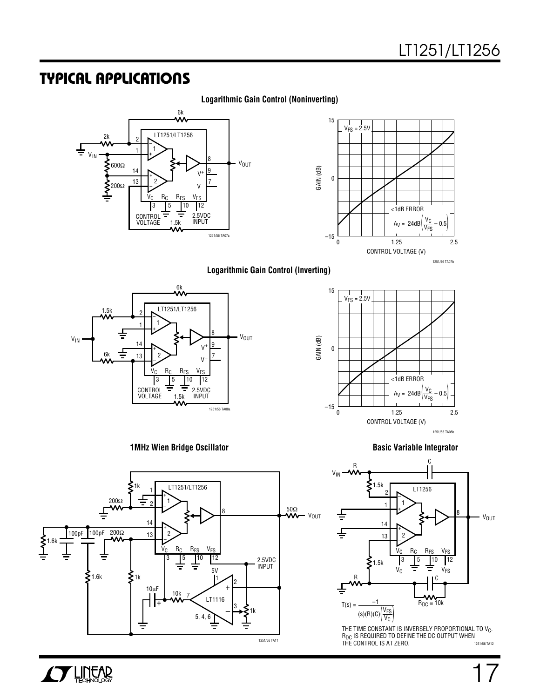### **Logarithmic Gain Control (Noninverting)**

![](_page_16_Figure_3.jpeg)

![](_page_16_Figure_4.jpeg)

#### **Logarithmic Gain Control (Inverting)**

15

![](_page_16_Figure_6.jpeg)

![](_page_16_Figure_7.jpeg)

![](_page_16_Figure_8.jpeg)

![](_page_16_Figure_10.jpeg)

![](_page_16_Figure_11.jpeg)

1251/56 TA12 THE TIME CONSTANT IS INVERSELY PROPORTIONAL TO V $_{\rm C}$ . R<sub>DC</sub> IS REQUIRED TO DEFINE THE DC OUTPUT WHEN<br>THE CONTROL IS AT ZERO.

![](_page_16_Picture_14.jpeg)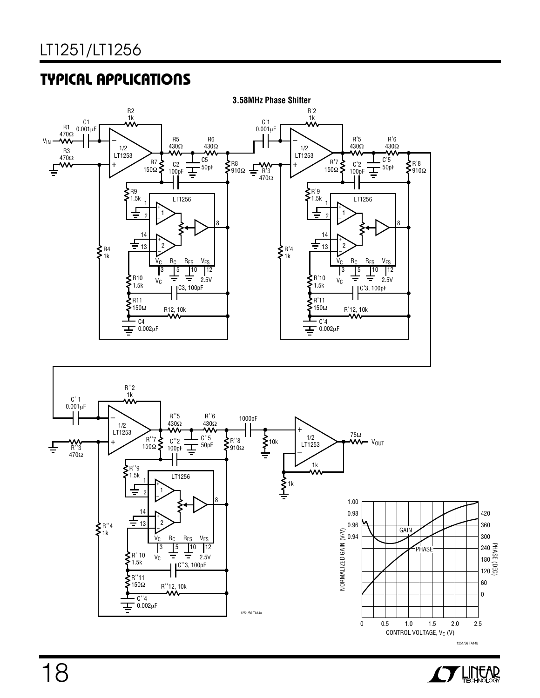![](_page_17_Figure_2.jpeg)

![](_page_17_Figure_3.jpeg)

![](_page_17_Picture_4.jpeg)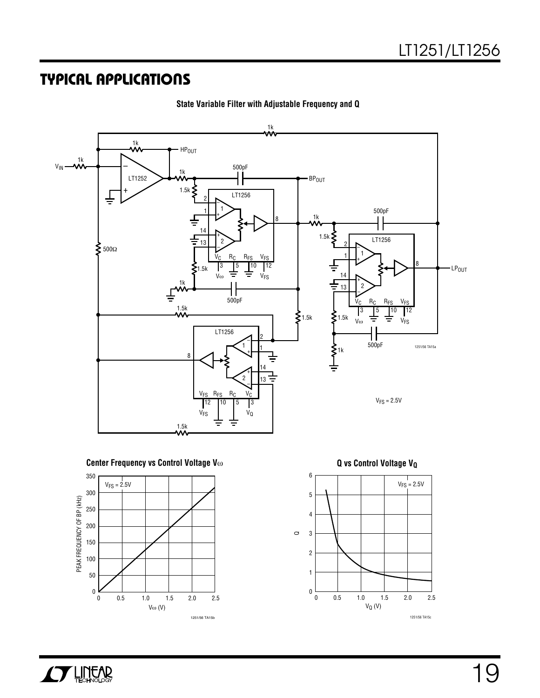![](_page_18_Figure_2.jpeg)

**State Variable Filter with Adjustable Frequency and Q**

![](_page_18_Figure_4.jpeg)

![](_page_18_Figure_5.jpeg)

6 5 4 3 2 1  $V_{FS} = 2.5V$ 

VQ (V)

1251/56 TA15c

2.5

0.5 1.0 1.5 2.0

0

 $\pmb{0}$ 

 $\circ$ 

**AV LINEAR**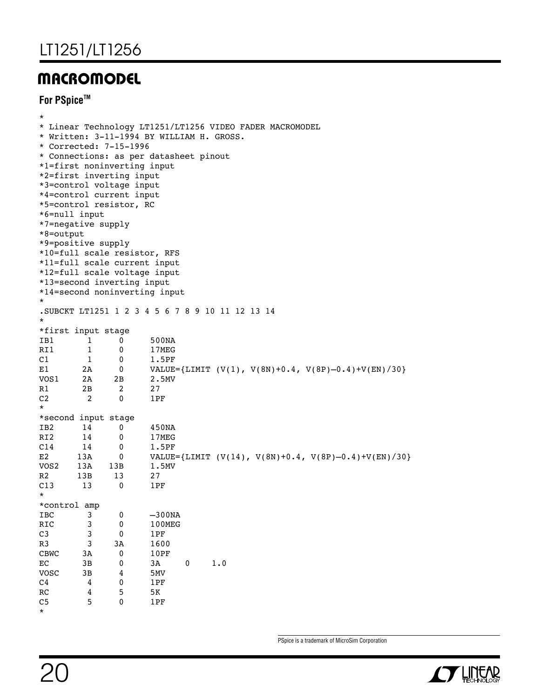### **MACROMODEL**

### **For PSpiceTM**

| $^\star$<br>*6=null input<br>*8=output<br>$\star$ | *7=negative supply<br>*9=positive supply | * Corrected: 7-15-1996<br>*1=first noninverting input<br>*2=first inverting input<br>*3=control voltage input<br>*4=control current input<br>*5=control resistor, RC<br>*10=full scale resistor, RFS<br>*11=full scale current input<br>*12=full scale voltage input<br>*13=second inverting input<br>*14=second noninverting input | * Linear Technology LT1251/LT1256 VIDEO FADER MACROMODEL<br>* Written: 3-11-1994 BY WILLIAM H. GROSS.<br>* Connections: as per datasheet pinout |
|---------------------------------------------------|------------------------------------------|-------------------------------------------------------------------------------------------------------------------------------------------------------------------------------------------------------------------------------------------------------------------------------------------------------------------------------------|-------------------------------------------------------------------------------------------------------------------------------------------------|
| $\star$                                           |                                          |                                                                                                                                                                                                                                                                                                                                     | SUBCKT LT1251 1 2 3 4 5 6 7 8 9 10 11 12 13 14                                                                                                  |
|                                                   | *first input stage                       |                                                                                                                                                                                                                                                                                                                                     |                                                                                                                                                 |
| IB1                                               | 1                                        | 0                                                                                                                                                                                                                                                                                                                                   | 500NA                                                                                                                                           |
| RI1                                               | 1                                        | 0                                                                                                                                                                                                                                                                                                                                   | 17MEG                                                                                                                                           |
| C1                                                | 1                                        | 0                                                                                                                                                                                                                                                                                                                                   | 1.5PF                                                                                                                                           |
| Е1                                                | 2A                                       | 0                                                                                                                                                                                                                                                                                                                                   | VALUE={LIMIT $(V(1), V(8N)+0.4, V(8P)-0.4)+V(EN)/30$ }                                                                                          |
| VOS1                                              | 2A                                       | 2В                                                                                                                                                                                                                                                                                                                                  | 2.5MV                                                                                                                                           |
| R1                                                | 2B                                       | 2                                                                                                                                                                                                                                                                                                                                   | 27                                                                                                                                              |
| C <sub>2</sub>                                    | 2                                        | 0                                                                                                                                                                                                                                                                                                                                   | 1PF                                                                                                                                             |
| $\star$                                           |                                          |                                                                                                                                                                                                                                                                                                                                     |                                                                                                                                                 |
|                                                   | *second input stage                      |                                                                                                                                                                                                                                                                                                                                     |                                                                                                                                                 |
| IB <sub>2</sub>                                   | 14                                       | 0                                                                                                                                                                                                                                                                                                                                   | 450NA                                                                                                                                           |
| RI <sub>2</sub>                                   | 14                                       | 0                                                                                                                                                                                                                                                                                                                                   | 17MEG                                                                                                                                           |
| C14                                               | 14                                       | 0                                                                                                                                                                                                                                                                                                                                   | 1.5PF                                                                                                                                           |
| E2                                                | 13A                                      | 0                                                                                                                                                                                                                                                                                                                                   | VALUE={LIMIT $(V(14)$ , $V(8N)+0.4$ , $V(8P)-0.4)+V(EN)/30$ }                                                                                   |
| VOS2                                              | 13A                                      | 13B                                                                                                                                                                                                                                                                                                                                 | 1.5MV                                                                                                                                           |
| R2                                                | 13B                                      | 13                                                                                                                                                                                                                                                                                                                                  | 27                                                                                                                                              |
| C13                                               | 13                                       | 0                                                                                                                                                                                                                                                                                                                                   | 1PF                                                                                                                                             |
| $\star$                                           |                                          |                                                                                                                                                                                                                                                                                                                                     |                                                                                                                                                 |
| *control amp                                      |                                          |                                                                                                                                                                                                                                                                                                                                     |                                                                                                                                                 |
| IBC                                               | 3                                        | 0                                                                                                                                                                                                                                                                                                                                   | $-300NA$                                                                                                                                        |
| RIC                                               | 3                                        | 0                                                                                                                                                                                                                                                                                                                                   | 100MEG                                                                                                                                          |
| C <sub>3</sub>                                    | 3                                        | 0                                                                                                                                                                                                                                                                                                                                   | 1PF                                                                                                                                             |
| R3                                                | 3                                        | 3A                                                                                                                                                                                                                                                                                                                                  | 1600                                                                                                                                            |
| CBWC                                              | 3A                                       | $\pmb{0}$                                                                                                                                                                                                                                                                                                                           | 10PF                                                                                                                                            |
| $\mathop{\rm EC}\nolimits$                        | 3B                                       | 0                                                                                                                                                                                                                                                                                                                                   | 3A<br>$\pmb{0}$<br>1.0                                                                                                                          |
| vosc                                              | 3B                                       | 4                                                                                                                                                                                                                                                                                                                                   | 5MV                                                                                                                                             |
| C <sub>4</sub>                                    | 4                                        | 0                                                                                                                                                                                                                                                                                                                                   | 1PF                                                                                                                                             |
| ${\sf RC}$                                        | 4                                        | 5                                                                                                                                                                                                                                                                                                                                   | $5K$                                                                                                                                            |
| C <sub>5</sub>                                    | 5                                        | 0                                                                                                                                                                                                                                                                                                                                   | 1PF                                                                                                                                             |
| $\star$                                           |                                          |                                                                                                                                                                                                                                                                                                                                     |                                                                                                                                                 |

PSpice is a trademark of MicroSim Corporation

![](_page_19_Picture_5.jpeg)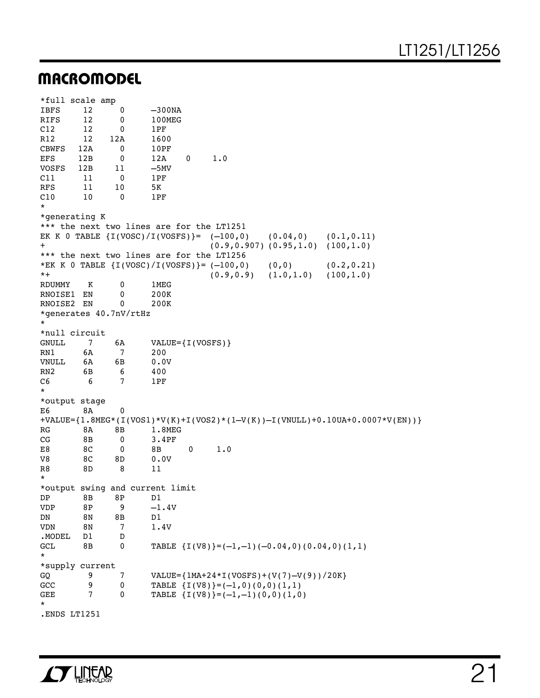### **MACROMODEL**

| *full scale amp        |     |                        |                                                 |                                                                                 |
|------------------------|-----|------------------------|-------------------------------------------------|---------------------------------------------------------------------------------|
| <b>IBFS</b>            | 12  | 0                      | $-300NA$                                        |                                                                                 |
| <b>RIFS</b>            | 12  | 0                      | 100MEG                                          |                                                                                 |
| C12                    | 12  | 0                      | 1PF                                             |                                                                                 |
| R12                    | 12  | 12A                    | 1600                                            |                                                                                 |
| <b>CBWFS</b>           | 12A | 0                      | 10PF                                            |                                                                                 |
| EFS                    | 12B | 0                      | 12A<br>0                                        | 1.0                                                                             |
| VOSFS                  | 12B | 11                     | $-5MV$                                          |                                                                                 |
| C11                    | 11  | 0                      | 1PF                                             |                                                                                 |
| RFS                    | 11  | 10                     | 5K                                              |                                                                                 |
| C10                    | 10  | 0                      | 1PF                                             |                                                                                 |
| $^\star$               |     |                        |                                                 |                                                                                 |
| *generating K          |     |                        |                                                 |                                                                                 |
|                        |     |                        | *** the next two lines are for the LT1251       |                                                                                 |
| $\pmb{+}$              |     |                        | EK K 0 TABLE $\{I(VOSC)/I(VOSFS)\} = (-100,0)$  | (0.04, 0)<br>(0.1, 0.11)<br>$(0.9, 0.907)$ $(0.95, 1.0)$ $(100, 1.0)$           |
|                        |     |                        | *** the next two lines are for the LT1256       |                                                                                 |
|                        |     |                        | *EK K 0 TABLE $\{I(VOSC)/I(VOSFS)\} = (-100,0)$ | (0, 0)<br>(0.2, 0.21)                                                           |
| $^{\star +}$           |     |                        |                                                 | $(0.9, 0.9)$ $(1.0, 1.0)$<br>(100, 1.0)                                         |
| RDUMMY                 | Κ   | 0                      | 1MEG                                            |                                                                                 |
| RNOISE1                | ΕN  | 0                      | 200K                                            |                                                                                 |
| RNOISE2 EN             |     | 0                      | 200K                                            |                                                                                 |
|                        |     | *generates 40.7nV/rtHz |                                                 |                                                                                 |
| $\star$                |     |                        |                                                 |                                                                                 |
| *null circuit          |     |                        |                                                 |                                                                                 |
| <b>GNULL</b>           | 7   | 6A                     | $VALUE = \{I (VOSFS)\}$                         |                                                                                 |
| RN1                    | 6A  | $\overline{7}$         | 200                                             |                                                                                 |
| VNULL                  | 6A  | 6В                     | 0.0V                                            |                                                                                 |
| RN <sub>2</sub>        | 6В  | 6                      | 400                                             |                                                                                 |
| C <sub>6</sub>         | 6   | 7                      | 1PF                                             |                                                                                 |
| $\ast$                 |     |                        |                                                 |                                                                                 |
| *output stage          |     |                        |                                                 |                                                                                 |
| E6                     | 8A  | 0                      |                                                 |                                                                                 |
|                        |     |                        |                                                 | $+$ VALUE={1.8MEG*(I(VOS1)*V(K)+I(VOS2)*(1-V(K))-I(VNULL)+0.10UA+0.0007*V(EN))} |
| RG                     | 8A  | 8Β                     | 1.8MEG                                          |                                                                                 |
| CG                     | 8B  | 0                      | 3.4PF                                           |                                                                                 |
| E8                     | 8C  | 0                      | 8Β<br>0                                         | 1.0                                                                             |
| V8                     | 8C  | 8D                     | 0.0V                                            |                                                                                 |
| R8<br>$^\star$         | 8D  | 8                      | 11                                              |                                                                                 |
|                        |     |                        | *output swing and current limit                 |                                                                                 |
| DP                     | 8B  | 8Ρ                     | D1                                              |                                                                                 |
| <b>VDP</b>             | 8P  | 9                      | $-1.4V$                                         |                                                                                 |
| DN                     | 8N  | 8B                     | D1                                              |                                                                                 |
| <b>VDN</b>             | 8N  | $\overline{7}$         | 1.4V                                            |                                                                                 |
|                        | D1  | D                      |                                                 |                                                                                 |
| . MODEL                |     |                        |                                                 |                                                                                 |
| <b>GCL</b><br>$^\star$ | 8B  | 0                      |                                                 | TABLE $\{I(V8)\} = (-1, -1) (-0.04, 0) (0.04, 0) (1, 1)$                        |
| *supply current        |     |                        |                                                 |                                                                                 |
| GQ                     | 9   | 7                      |                                                 | VALUE= ${1MA+24*I(VOSFS)+(V(7)-V(9))}/20K}$                                     |
| GCC                    | 9   | 0                      |                                                 | TABLE $\{I(V8)\} = (-1,0)(0,0)(1,1)$                                            |
| GEE                    | 7   | 0                      |                                                 | TABLE $\{I(V8)\} = (-1, -1) (0, 0) (1, 0)$                                      |
| $^\star$               |     |                        |                                                 |                                                                                 |
|                        |     |                        |                                                 |                                                                                 |

.ENDS LT1251

![](_page_20_Picture_4.jpeg)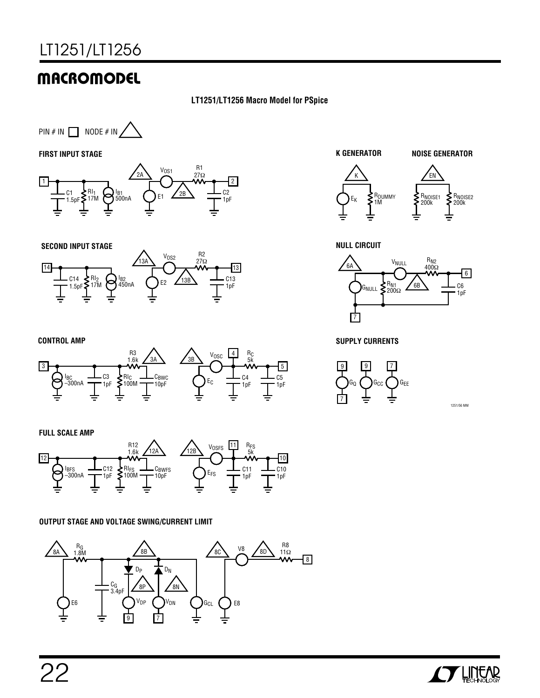## **MACROMODEL**

### **LT1251/LT1256 Macro Model for PSpice**

![](_page_21_Figure_3.jpeg)

**FIRST INPUT STAGE**

![](_page_21_Figure_5.jpeg)

![](_page_21_Figure_6.jpeg)

![](_page_21_Figure_7.jpeg)

**CONTROL AMP**

![](_page_21_Figure_9.jpeg)

#### **FULL SCALE AMP**

![](_page_21_Figure_11.jpeg)

#### **OUTPUT STAGE AND VOLTAGE SWING/CURRENT LIMIT**

![](_page_21_Figure_13.jpeg)

![](_page_21_Figure_14.jpeg)

#### **NULL CIRCUIT**

![](_page_21_Figure_16.jpeg)

**SUPPLY CURRENTS**

![](_page_21_Figure_18.jpeg)

1251/56 MM

![](_page_21_Picture_20.jpeg)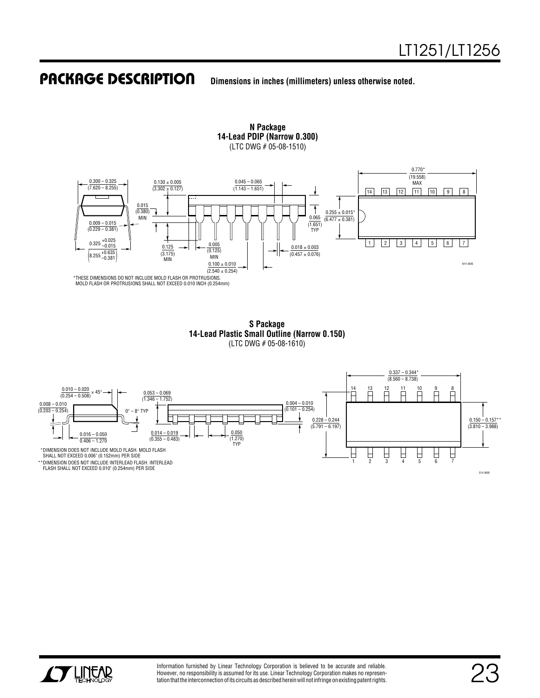### **PACKAGE DESCRIPTION**

**U Dimensions in inches (millimeters) unless otherwise noted.**

**N Package 14-Lead PDIP (Narrow 0.300)** (LTC DWG # 05-08-1510)

![](_page_22_Figure_4.jpeg)

MOLD FLASH OR PROTRUSIONS SHALL NOT EXCEED 0.010 INCH (0.254mm)

**S Package 14-Lead Plastic Small Outline (Narrow 0.150)** (LTC DWG # 05-08-1610)

![](_page_22_Figure_7.jpeg)

![](_page_22_Picture_8.jpeg)